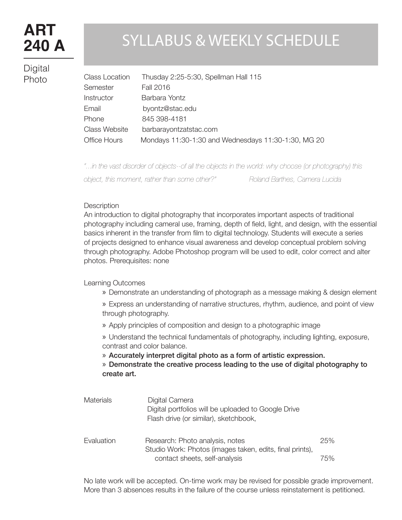# **ART 240 A**

**Digital** Photo

# SYLLABUS & WEEKLY SCHEDULE

| <b>Class Location</b> | Thusday 2:25-5:30, Spellman Hall 115                |
|-----------------------|-----------------------------------------------------|
| Semester              | <b>Fall 2016</b>                                    |
| Instructor            | Barbara Yontz                                       |
| Email                 | byontz@stac.edu                                     |
| Phone                 | 845 398-4181                                        |
| <b>Class Website</b>  | barbarayontzatstac.com                              |
| <b>Office Hours</b>   | Mondays 11:30-1:30 and Wednesdays 11:30-1:30, MG 20 |

*"...in the vast disorder of objects--of all the objects in the world: why choose (or photography) this object, this moment, rather than some other?" Roland Barthes, Camera Lucida*

#### **Description**

An introduction to digital photography that incorporates important aspects of traditional photography including cameral use, framing, depth of field, light, and design, with the essential basics inherent in the transfer from film to digital technology. Students will execute a series of projects designed to enhance visual awareness and develop conceptual problem solving through photography. Adobe Photoshop program will be used to edit, color correct and alter photos. Prerequisites: none

Learning Outcomes

» Demonstrate an understanding of photograph as a message making & design element

» Express an understanding of narrative structures, rhythm, audience, and point of view through photography.

» Apply principles of composition and design to a photographic image

» Understand the technical fundamentals of photography, including lighting, exposure, contrast and color balance.

» Accurately interpret digital photo as a form of artistic expression.

» Demonstrate the creative process leading to the use of digital photography to create art.

| <b>Materials</b> | Digital Camera<br>Digital portfolios will be uploaded to Google Drive<br>Flash drive (or similar), sketchbook, |     |
|------------------|----------------------------------------------------------------------------------------------------------------|-----|
| Evaluation       | Research: Photo analysis, notes<br>Studio Work: Photos (images taken, edits, final prints),                    | 25% |
|                  | contact sheets, self-analysis                                                                                  | 75% |

No late work will be accepted. On-time work may be revised for possible grade improvement. More than 3 absences results in the failure of the course unless reinstatement is petitioned.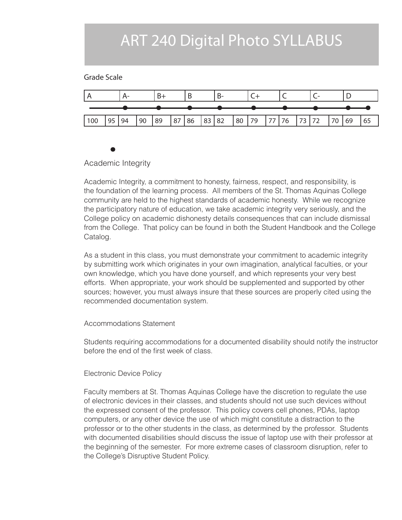### ART 240 Digital Photo SYLLABUS

### Grade Scale



### Academic Integrity

Academic Integrity, a commitment to honesty, fairness, respect, and responsibility, is the foundation of the learning process. All members of the St. Thomas Aquinas College community are held to the highest standards of academic honesty. While we recognize the participatory nature of education, we take academic integrity very seriously, and the College policy on academic dishonesty details consequences that can include dismissal from the College. That policy can be found in both the Student Handbook and the College Catalog.

As a student in this class, you must demonstrate your commitment to academic integrity by submitting work which originates in your own imagination, analytical faculties, or your own knowledge, which you have done yourself, and which represents your very best efforts. When appropriate, your work should be supplemented and supported by other sources; however, you must always insure that these sources are properly cited using the recommended documentation system.

### Accommodations Statement

Students requiring accommodations for a documented disability should notify the instructor before the end of the first week of class.

### Electronic Device Policy

Faculty members at St. Thomas Aquinas College have the discretion to regulate the use of electronic devices in their classes, and students should not use such devices without the expressed consent of the professor. This policy covers cell phones, PDAs, laptop computers, or any other device the use of which might constitute a distraction to the professor or to the other students in the class, as determined by the professor. Students with documented disabilities should discuss the issue of laptop use with their professor at the beginning of the semester. For more extreme cases of classroom disruption, refer to the College's Disruptive Student Policy.